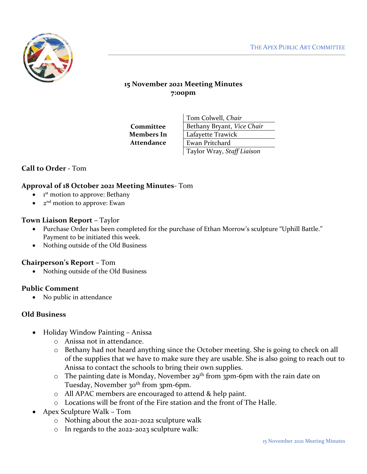

# **15 November 2021 Meeting Minutes 7:00pm**

**Committee Members In Attendance**

Tom Colwell, *Chair* Bethany Bryant, *Vice Chair* Lafayette Trawick Ewan Pritchard Taylor Wray, *Staff Liaison*

## **Call to Order -** Tom

### **Approval of 18 October 2021 Meeting Minutes**- Tom

- $\bullet$  1<sup>st</sup> motion to approve: Bethany
- 2<sup>nd</sup> motion to approve: Ewan

#### **Town Liaison Report –** Taylor

- Purchase Order has been completed for the purchase of Ethan Morrow's sculpture "Uphill Battle." Payment to be initiated this week.
- Nothing outside of the Old Business

#### **Chairperson's Report –** Tom

• Nothing outside of the Old Business

#### **Public Comment**

• No public in attendance

#### **Old Business**

- Holiday Window Painting Anissa
	- o Anissa not in attendance.
	- o Bethany had not heard anything since the October meeting. She is going to check on all of the supplies that we have to make sure they are usable. She is also going to reach out to Anissa to contact the schools to bring their own supplies.
	- $\circ$  The painting date is Monday, November 29<sup>th</sup> from 3pm-6pm with the rain date on Tuesday, November 30<sup>th</sup> from 3pm-6pm.
	- o All APAC members are encouraged to attend & help paint.
	- o Locations will be front of the Fire station and the front of The Halle.
- Apex Sculpture Walk Tom
	- o Nothing about the 2021-2022 sculpture walk
	- o In regards to the 2022-2023 sculpture walk: